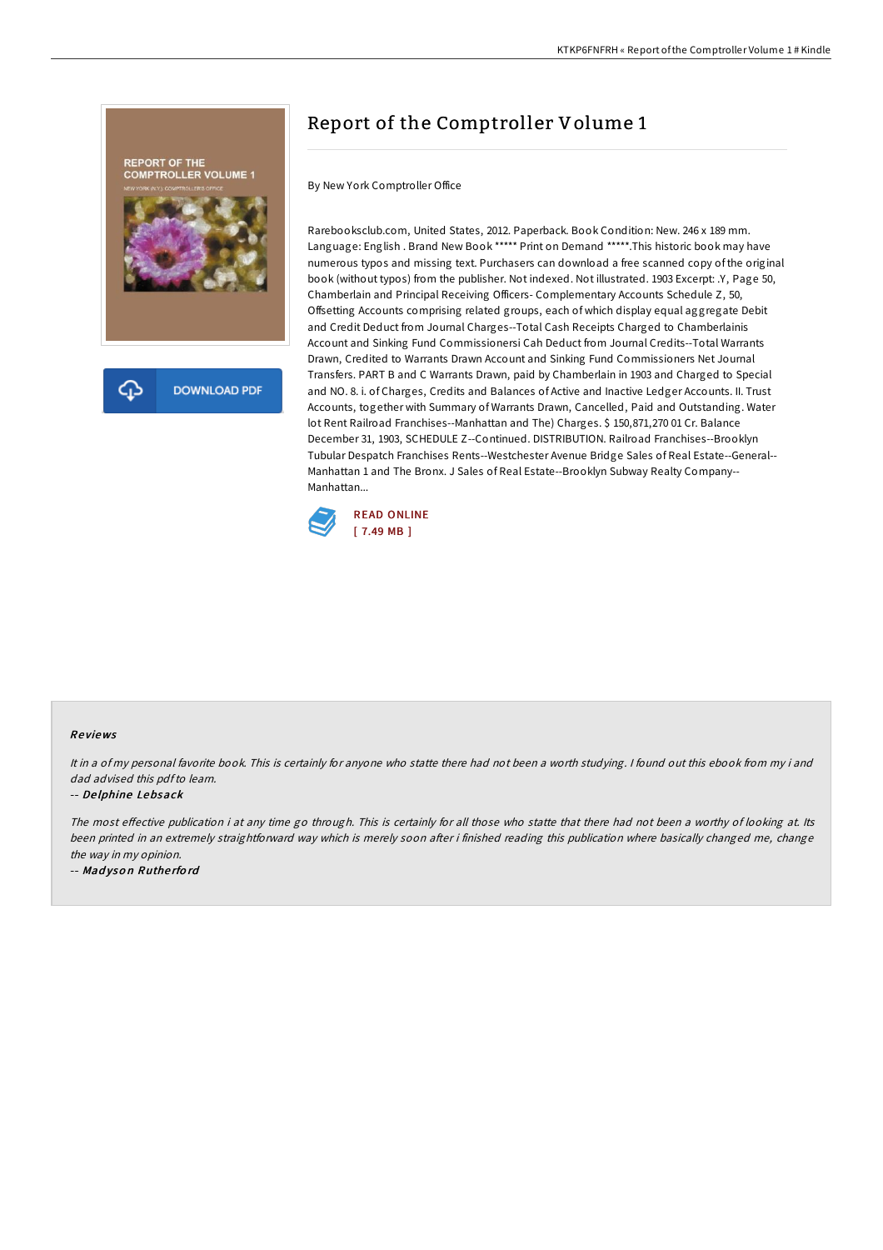

# Report of the Comptroller Volume 1

By New York Comptroller Office

Rarebooksclub.com, United States, 2012. Paperback. Book Condition: New. 246 x 189 mm. Language: English . Brand New Book \*\*\*\*\* Print on Demand \*\*\*\*\*.This historic book may have numerous typos and missing text. Purchasers can download a free scanned copy of the original book (without typos) from the publisher. Not indexed. Not illustrated. 1903 Excerpt: .Y, Page 50, Chamberlain and Principal Receiving Officers- Complementary Accounts Schedule Z, 50, Offsetting Accounts comprising related groups, each of which display equal aggregate Debit and Credit Deduct from Journal Charges--Total Cash Receipts Charged to Chamberlainis Account and Sinking Fund Commissionersi Cah Deduct from Journal Credits--Total Warrants Drawn, Credited to Warrants Drawn Account and Sinking Fund Commissioners Net Journal Transfers. PART B and C Warrants Drawn, paid by Chamberlain in 1903 and Charged to Special and NO. 8. i. of Charges, Credits and Balances of Active and Inactive Ledger Accounts. II. Trust Accounts, together with Summary of Warrants Drawn, Cancelled, Paid and Outstanding. Water lot Rent Railroad Franchises--Manhattan and The) Charges. \$ 150,871,270 01 Cr. Balance December 31, 1903, SCHEDULE Z--Continued. DISTRIBUTION. Railroad Franchises--Brooklyn Tubular Despatch Franchises Rents--Westchester Avenue Bridge Sales of Real Estate--General-- Manhattan 1 and The Bronx. J Sales of Real Estate--Brooklyn Subway Realty Company-- Manhattan...



### Re views

It in <sup>a</sup> of my personal favorite book. This is certainly for anyone who statte there had not been <sup>a</sup> worth studying. <sup>I</sup> found out this ebook from my i and dad advised this pdfto learn.

#### -- De lphine Lebsack

The most effective publication i at any time go through. This is certainly for all those who statte that there had not been a worthy of looking at. Its been printed in an extremely straightforward way which is merely soon after i finished reading this publication where basically changed me, change the way in my opinion.

-- Mad yso <sup>n</sup> Ruthe rfo rd